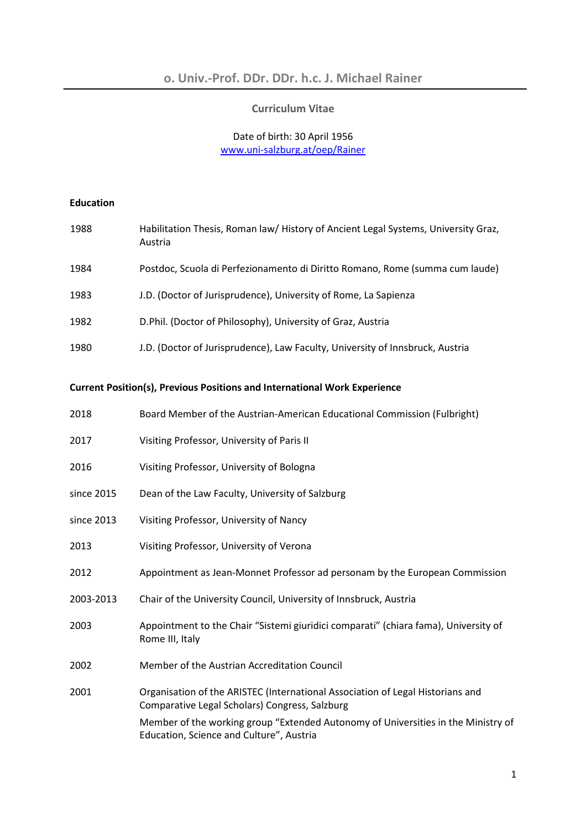#### **Curriculum Vitae**

# Date of birth: 30 April 1956 www.uni-salzburg.at/oep/Rainer

# **Education**

| 1988 | Habilitation Thesis, Roman law/History of Ancient Legal Systems, University Graz,<br>Austria |
|------|----------------------------------------------------------------------------------------------|
| 1984 | Postdoc, Scuola di Perfezionamento di Diritto Romano, Rome (summa cum laude)                 |
| 1983 | J.D. (Doctor of Jurisprudence), University of Rome, La Sapienza                              |
| 1982 | D.Phil. (Doctor of Philosophy), University of Graz, Austria                                  |
| 1980 | J.D. (Doctor of Jurisprudence), Law Faculty, University of Innsbruck, Austria                |

# **Current Position(s), Previous Positions and International Work Experience**

| 2018       | Board Member of the Austrian-American Educational Commission (Fulbright)                                                         |
|------------|----------------------------------------------------------------------------------------------------------------------------------|
| 2017       | Visiting Professor, University of Paris II                                                                                       |
| 2016       | Visiting Professor, University of Bologna                                                                                        |
| since 2015 | Dean of the Law Faculty, University of Salzburg                                                                                  |
| since 2013 | Visiting Professor, University of Nancy                                                                                          |
| 2013       | Visiting Professor, University of Verona                                                                                         |
| 2012       | Appointment as Jean-Monnet Professor ad personam by the European Commission                                                      |
| 2003-2013  | Chair of the University Council, University of Innsbruck, Austria                                                                |
| 2003       | Appointment to the Chair "Sistemi giuridici comparati" (chiara fama), University of<br>Rome III, Italy                           |
| 2002       | Member of the Austrian Accreditation Council                                                                                     |
| 2001       | Organisation of the ARISTEC (International Association of Legal Historians and<br>Comparative Legal Scholars) Congress, Salzburg |
|            | Member of the working group "Extended Autonomy of Universities in the Ministry of<br>Education, Science and Culture", Austria    |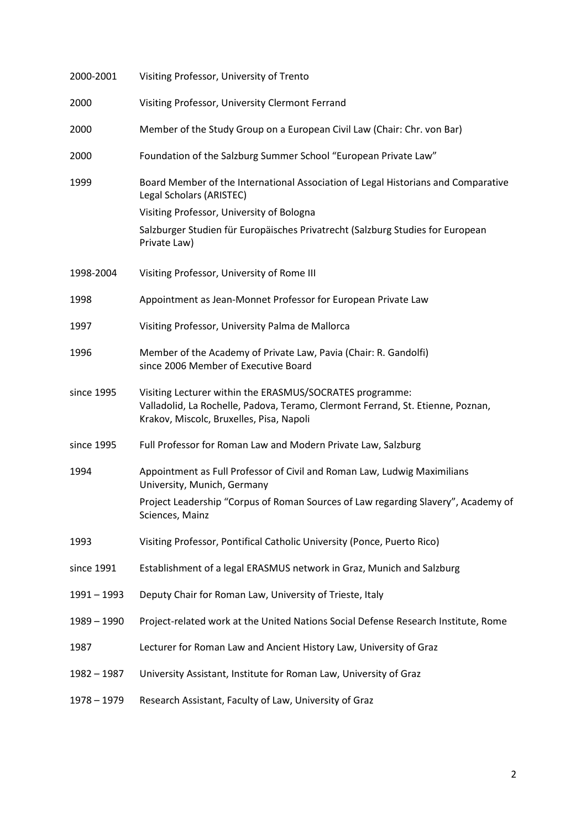| 2000-2001     | Visiting Professor, University of Trento                                                                                                                                                |
|---------------|-----------------------------------------------------------------------------------------------------------------------------------------------------------------------------------------|
| 2000          | Visiting Professor, University Clermont Ferrand                                                                                                                                         |
| 2000          | Member of the Study Group on a European Civil Law (Chair: Chr. von Bar)                                                                                                                 |
| 2000          | Foundation of the Salzburg Summer School "European Private Law"                                                                                                                         |
| 1999          | Board Member of the International Association of Legal Historians and Comparative<br>Legal Scholars (ARISTEC)                                                                           |
|               | Visiting Professor, University of Bologna                                                                                                                                               |
|               | Salzburger Studien für Europäisches Privatrecht (Salzburg Studies for European<br>Private Law)                                                                                          |
| 1998-2004     | Visiting Professor, University of Rome III                                                                                                                                              |
| 1998          | Appointment as Jean-Monnet Professor for European Private Law                                                                                                                           |
| 1997          | Visiting Professor, University Palma de Mallorca                                                                                                                                        |
| 1996          | Member of the Academy of Private Law, Pavia (Chair: R. Gandolfi)<br>since 2006 Member of Executive Board                                                                                |
| since 1995    | Visiting Lecturer within the ERASMUS/SOCRATES programme:<br>Valladolid, La Rochelle, Padova, Teramo, Clermont Ferrand, St. Etienne, Poznan,<br>Krakov, Miscolc, Bruxelles, Pisa, Napoli |
| since 1995    | Full Professor for Roman Law and Modern Private Law, Salzburg                                                                                                                           |
| 1994          | Appointment as Full Professor of Civil and Roman Law, Ludwig Maximilians<br>University, Munich, Germany                                                                                 |
|               | Project Leadership "Corpus of Roman Sources of Law regarding Slavery", Academy of<br>Sciences, Mainz                                                                                    |
| 1993          | Visiting Professor, Pontifical Catholic University (Ponce, Puerto Rico)                                                                                                                 |
| since 1991    | Establishment of a legal ERASMUS network in Graz, Munich and Salzburg                                                                                                                   |
| $1991 - 1993$ | Deputy Chair for Roman Law, University of Trieste, Italy                                                                                                                                |
| $1989 - 1990$ | Project-related work at the United Nations Social Defense Research Institute, Rome                                                                                                      |
| 1987          | Lecturer for Roman Law and Ancient History Law, University of Graz                                                                                                                      |
| $1982 - 1987$ | University Assistant, Institute for Roman Law, University of Graz                                                                                                                       |
| $1978 - 1979$ | Research Assistant, Faculty of Law, University of Graz                                                                                                                                  |